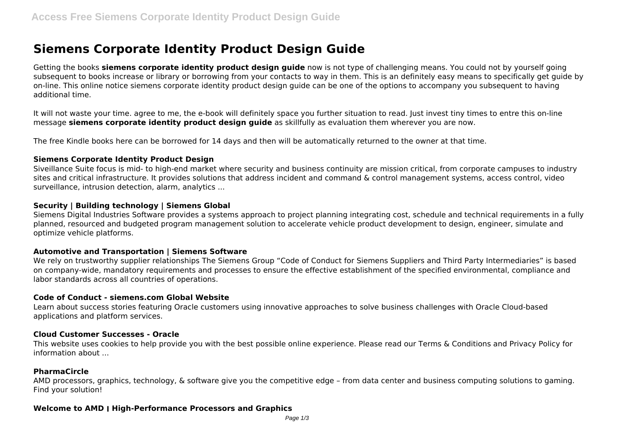# **Siemens Corporate Identity Product Design Guide**

Getting the books **siemens corporate identity product design guide** now is not type of challenging means. You could not by yourself going subsequent to books increase or library or borrowing from your contacts to way in them. This is an definitely easy means to specifically get guide by on-line. This online notice siemens corporate identity product design guide can be one of the options to accompany you subsequent to having additional time.

It will not waste your time. agree to me, the e-book will definitely space you further situation to read. Just invest tiny times to entre this on-line message **siemens corporate identity product design guide** as skillfully as evaluation them wherever you are now.

The free Kindle books here can be borrowed for 14 days and then will be automatically returned to the owner at that time.

# **Siemens Corporate Identity Product Design**

Siveillance Suite focus is mid- to high-end market where security and business continuity are mission critical, from corporate campuses to industry sites and critical infrastructure. It provides solutions that address incident and command & control management systems, access control, video surveillance, intrusion detection, alarm, analytics ...

# **Security | Building technology | Siemens Global**

Siemens Digital Industries Software provides a systems approach to project planning integrating cost, schedule and technical requirements in a fully planned, resourced and budgeted program management solution to accelerate vehicle product development to design, engineer, simulate and optimize vehicle platforms.

# **Automotive and Transportation | Siemens Software**

We rely on trustworthy supplier relationships The Siemens Group "Code of Conduct for Siemens Suppliers and Third Party Intermediaries" is based on company-wide, mandatory requirements and processes to ensure the effective establishment of the specified environmental, compliance and labor standards across all countries of operations.

# **Code of Conduct - siemens.com Global Website**

Learn about success stories featuring Oracle customers using innovative approaches to solve business challenges with Oracle Cloud-based applications and platform services.

# **Cloud Customer Successes - Oracle**

This website uses cookies to help provide you with the best possible online experience. Please read our Terms & Conditions and Privacy Policy for information about ...

# **PharmaCircle**

AMD processors, graphics, technology, & software give you the competitive edge – from data center and business computing solutions to gaming. Find your solution!

# **Welcome to AMD ׀ High-Performance Processors and Graphics**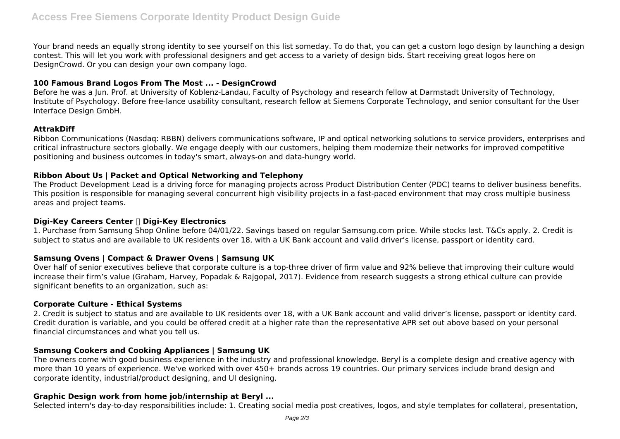Your brand needs an equally strong identity to see yourself on this list someday. To do that, you can get a custom logo design by launching a design contest. This will let you work with professional designers and get access to a variety of design bids. Start receiving great logos here on DesignCrowd. Or you can design your own company logo.

# **100 Famous Brand Logos From The Most ... - DesignCrowd**

Before he was a Jun. Prof. at University of Koblenz-Landau, Faculty of Psychology and research fellow at Darmstadt University of Technology, Institute of Psychology. Before free-lance usability consultant, research fellow at Siemens Corporate Technology, and senior consultant for the User Interface Design GmbH.

# **AttrakDiff**

Ribbon Communications (Nasdaq: RBBN) delivers communications software, IP and optical networking solutions to service providers, enterprises and critical infrastructure sectors globally. We engage deeply with our customers, helping them modernize their networks for improved competitive positioning and business outcomes in today's smart, always-on and data-hungry world.

# **Ribbon About Us | Packet and Optical Networking and Telephony**

The Product Development Lead is a driving force for managing projects across Product Distribution Center (PDC) teams to deliver business benefits. This position is responsible for managing several concurrent high visibility projects in a fast-paced environment that may cross multiple business areas and project teams.

# **Digi-Key Careers Center │ Digi-Key Electronics**

1. Purchase from Samsung Shop Online before 04/01/22. Savings based on regular Samsung.com price. While stocks last. T&Cs apply. 2. Credit is subject to status and are available to UK residents over 18, with a UK Bank account and valid driver's license, passport or identity card.

# **Samsung Ovens | Compact & Drawer Ovens | Samsung UK**

Over half of senior executives believe that corporate culture is a top-three driver of firm value and 92% believe that improving their culture would increase their firm's value (Graham, Harvey, Popadak & Rajgopal, 2017). Evidence from research suggests a strong ethical culture can provide significant benefits to an organization, such as:

# **Corporate Culture - Ethical Systems**

2. Credit is subject to status and are available to UK residents over 18, with a UK Bank account and valid driver's license, passport or identity card. Credit duration is variable, and you could be offered credit at a higher rate than the representative APR set out above based on your personal financial circumstances and what you tell us.

# **Samsung Cookers and Cooking Appliances | Samsung UK**

The owners come with good business experience in the industry and professional knowledge. Beryl is a complete design and creative agency with more than 10 years of experience. We've worked with over 450+ brands across 19 countries. Our primary services include brand design and corporate identity, industrial/product designing, and UI designing.

# **Graphic Design work from home job/internship at Beryl ...**

Selected intern's day-to-day responsibilities include: 1. Creating social media post creatives, logos, and style templates for collateral, presentation,